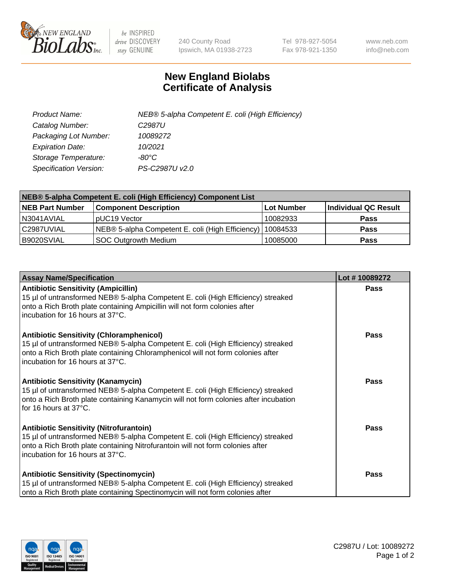

 $be$  INSPIRED drive DISCOVERY stay GENUINE

240 County Road Ipswich, MA 01938-2723 Tel 978-927-5054 Fax 978-921-1350 www.neb.com info@neb.com

## **New England Biolabs Certificate of Analysis**

| Product Name:           | NEB® 5-alpha Competent E. coli (High Efficiency) |
|-------------------------|--------------------------------------------------|
| Catalog Number:         | C <sub>2987</sub> U                              |
| Packaging Lot Number:   | 10089272                                         |
| <b>Expiration Date:</b> | 10/2021                                          |
| Storage Temperature:    | -80°C                                            |
| Specification Version:  | PS-C2987U v2.0                                   |

| NEB® 5-alpha Competent E. coli (High Efficiency) Component List |                                                  |            |                      |  |
|-----------------------------------------------------------------|--------------------------------------------------|------------|----------------------|--|
| <b>NEB Part Number</b>                                          | <b>Component Description</b>                     | Lot Number | Individual QC Result |  |
| N3041AVIAL                                                      | pUC19 Vector                                     | 10082933   | <b>Pass</b>          |  |
| C2987UVIAL                                                      | NEB® 5-alpha Competent E. coli (High Efficiency) | 10084533   | <b>Pass</b>          |  |
| B9020SVIAL                                                      | <b>SOC Outgrowth Medium</b>                      | 10085000   | <b>Pass</b>          |  |

| <b>Assay Name/Specification</b>                                                                                                                                                                                                                            | Lot #10089272 |
|------------------------------------------------------------------------------------------------------------------------------------------------------------------------------------------------------------------------------------------------------------|---------------|
| <b>Antibiotic Sensitivity (Ampicillin)</b><br>15 µl of untransformed NEB® 5-alpha Competent E. coli (High Efficiency) streaked<br>onto a Rich Broth plate containing Ampicillin will not form colonies after<br>incubation for 16 hours at 37°C.           | <b>Pass</b>   |
| <b>Antibiotic Sensitivity (Chloramphenicol)</b><br>15 µl of untransformed NEB® 5-alpha Competent E. coli (High Efficiency) streaked<br>onto a Rich Broth plate containing Chloramphenicol will not form colonies after<br>incubation for 16 hours at 37°C. | Pass          |
| Antibiotic Sensitivity (Kanamycin)<br>15 µl of untransformed NEB® 5-alpha Competent E. coli (High Efficiency) streaked<br>onto a Rich Broth plate containing Kanamycin will not form colonies after incubation<br>for 16 hours at 37°C.                    | Pass          |
| <b>Antibiotic Sensitivity (Nitrofurantoin)</b><br>15 µl of untransformed NEB® 5-alpha Competent E. coli (High Efficiency) streaked<br>onto a Rich Broth plate containing Nitrofurantoin will not form colonies after<br>incubation for 16 hours at 37°C.   | <b>Pass</b>   |
| <b>Antibiotic Sensitivity (Spectinomycin)</b><br>15 µl of untransformed NEB® 5-alpha Competent E. coli (High Efficiency) streaked<br>onto a Rich Broth plate containing Spectinomycin will not form colonies after                                         | Pass          |